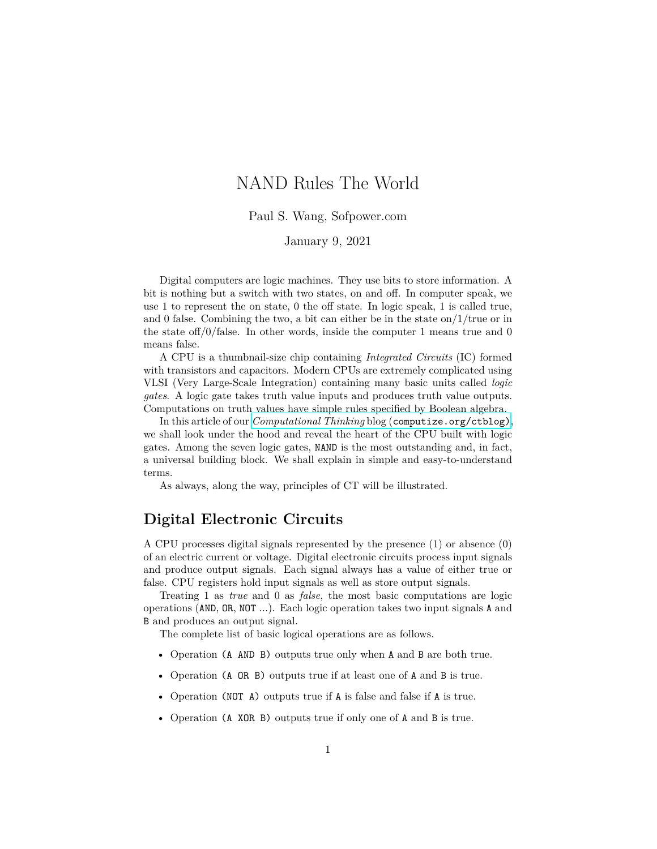# NAND Rules The World

Paul S. Wang, Sofpower.com

### January 9, 2021

Digital computers are logic machines. They use bits to store information. A bit is nothing but a switch with two states, on and off. In computer speak, we use 1 to represent the on state, 0 the off state. In logic speak, 1 is called true, and 0 false. Combining the two, a bit can either be in the state on/ $1/$ true or in the state of  $f/0$  false. In other words, inside the computer 1 means true and 0 means false.

A CPU is a thumbnail-size chip containing *Integrated Circuits* (IC) formed with transistors and capacitors. Modern CPUs are extremely complicated using VLSI (Very Large-Scale Integration) containing many basic units called *logic gates*. A logic gate takes truth value inputs and produces truth value outputs. Computations on truth values have simple rules specified by Boolean algebra.

In this article of our *Computational Thinking* blog ([computize.org/ctblog\)](https://computize.org/ctblog), we shall look under the hood and reveal the heart of the CPU built with logic gates. Among the seven logic gates, NAND is the most outstanding and, in fact, a universal building block. We shall explain in simple and easy-to-understand terms.

As always, along the way, principles of CT will be illustrated.

# **Digital Electronic Circuits**

A CPU processes digital signals represented by the presence (1) or absence (0) of an electric current or voltage. Digital electronic circuits process input signals and produce output signals. Each signal always has a value of either true or false. CPU registers hold input signals as well as store output signals.

Treating 1 as *true* and 0 as *false*, the most basic computations are logic operations (AND, OR, NOT ...). Each logic operation takes two input signals A and B and produces an output signal.

The complete list of basic logical operations are as follows.

- Operation (A AND B) outputs true only when A and B are both true.
- Operation (A OR B) outputs true if at least one of A and B is true.
- Operation (NOT A) outputs true if A is false and false if A is true.
- Operation (A XOR B) outputs true if only one of A and B is true.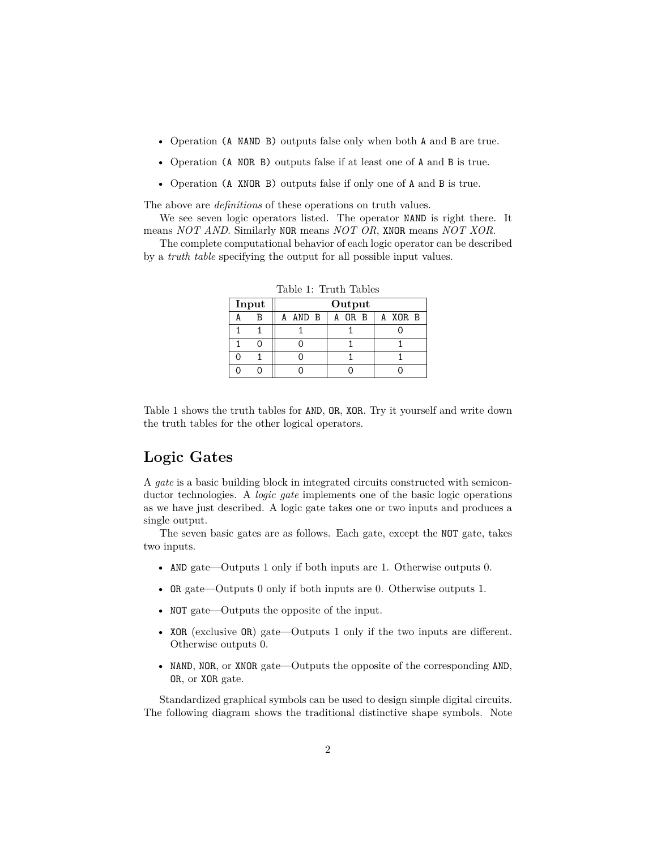- Operation (A NAND B) outputs false only when both A and B are true.
- Operation (A NOR B) outputs false if at least one of A and B is true.
- Operation (A XNOR B) outputs false if only one of A and B is true.

The above are *definitions* of these operations on truth values.

We see seven logic operators listed. The operator NAND is right there. It means *NOT AND*. Similarly NOR means *NOT OR*, XNOR means *NOT XOR*.

The complete computational behavior of each logic operator can be described by a *truth table* specifying the output for all possible input values.

| Input |   | Output |                                    |  |  |
|-------|---|--------|------------------------------------|--|--|
|       | R |        | AND $B \mid A$ OR $B \mid A$ XOR B |  |  |
|       |   |        |                                    |  |  |
|       |   |        |                                    |  |  |
|       |   |        |                                    |  |  |
|       |   |        |                                    |  |  |

Table 1: Truth Tables

Table 1 shows the truth tables for AND, OR, XOR. Try it yourself and write down the truth tables for the other logical operators.

# **Logic Gates**

A *gate* is a basic building block in integrated circuits constructed with semiconductor technologies. A *logic gate* implements one of the basic logic operations as we have just described. A logic gate takes one or two inputs and produces a single output.

The seven basic gates are as follows. Each gate, except the NOT gate, takes two inputs.

- AND gate—Outputs 1 only if both inputs are 1. Otherwise outputs 0.
- OR gate—Outputs 0 only if both inputs are 0. Otherwise outputs 1.
- NOT gate—Outputs the opposite of the input.
- XOR (exclusive OR) gate—Outputs 1 only if the two inputs are different. Otherwise outputs 0.
- NAND, NOR, or XNOR gate—Outputs the opposite of the corresponding AND, OR, or XOR gate.

Standardized graphical symbols can be used to design simple digital circuits. The following diagram shows the traditional distinctive shape symbols. Note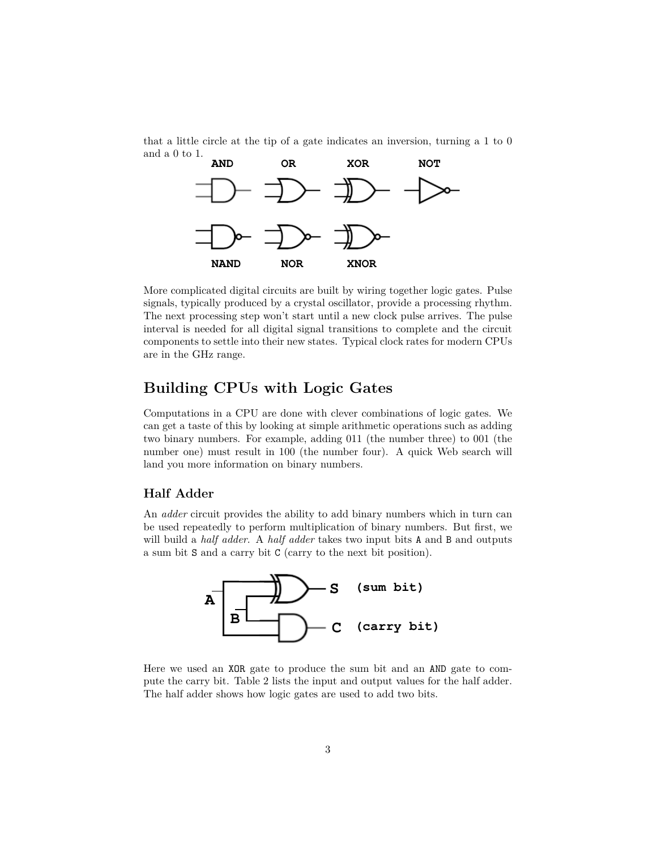that a little circle at the tip of a gate indicates an inversion, turning a 1 to 0 and a 0 to 1.



More complicated digital circuits are built by wiring together logic gates. Pulse signals, typically produced by a crystal oscillator, provide a processing rhythm. The next processing step won't start until a new clock pulse arrives. The pulse interval is needed for all digital signal transitions to complete and the circuit components to settle into their new states. Typical clock rates for modern CPUs are in the GHz range.

# **Building CPUs with Logic Gates**

Computations in a CPU are done with clever combinations of logic gates. We can get a taste of this by looking at simple arithmetic operations such as adding two binary numbers. For example, adding 011 (the number three) to 001 (the number one) must result in 100 (the number four). A quick Web search will land you more information on binary numbers.

#### **Half Adder**

An *adder* circuit provides the ability to add binary numbers which in turn can be used repeatedly to perform multiplication of binary numbers. But first, we will build a *half adder*. A *half adder* takes two input bits A and B and outputs a sum bit S and a carry bit C (carry to the next bit position).



Here we used an XOR gate to produce the sum bit and an AND gate to compute the carry bit. Table 2 lists the input and output values for the half adder. The half adder shows how logic gates are used to add two bits.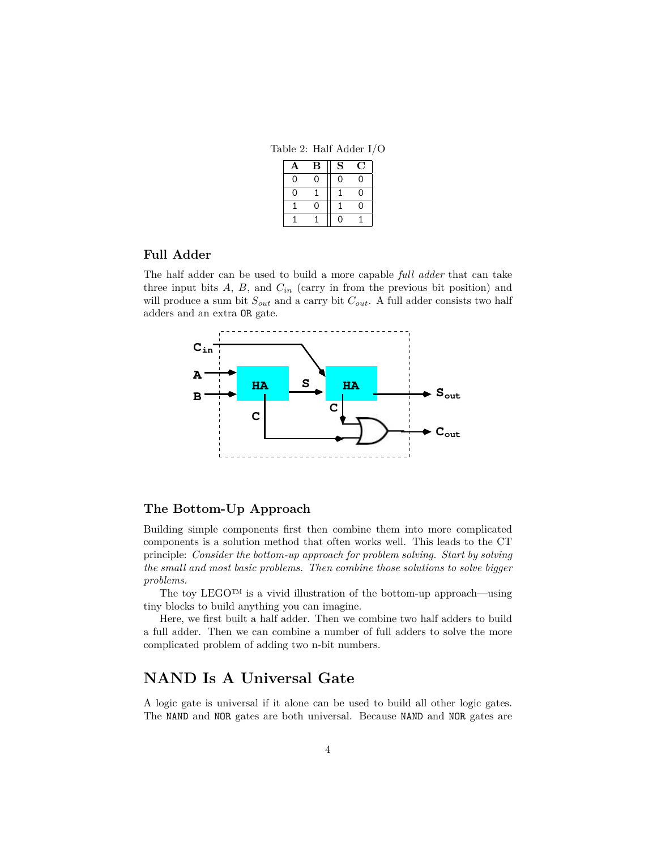Table 2: Half Adder I/O

| А        | в | S |    |
|----------|---|---|----|
| ი        | 0 | ი | Ω  |
| $\Omega$ |   |   | O  |
|          |   |   | ι) |
|          |   | n |    |

#### **Full Adder**

The half adder can be used to build a more capable *full adder* that can take three input bits  $A$ ,  $B$ , and  $C_{in}$  (carry in from the previous bit position) and will produce a sum bit *Sout* and a carry bit *Cout*. A full adder consists two half adders and an extra OR gate.



### **The Bottom-Up Approach**

Building simple components first then combine them into more complicated components is a solution method that often works well. This leads to the CT principle: *Consider the bottom-up approach for problem solving. Start by solving the small and most basic problems. Then combine those solutions to solve bigger problems.*

The toy LEGO™ is a vivid illustration of the bottom-up approach—using tiny blocks to build anything you can imagine.

Here, we first built a half adder. Then we combine two half adders to build a full adder. Then we can combine a number of full adders to solve the more complicated problem of adding two n-bit numbers.

### **NAND Is A Universal Gate**

A logic gate is universal if it alone can be used to build all other logic gates. The NAND and NOR gates are both universal. Because NAND and NOR gates are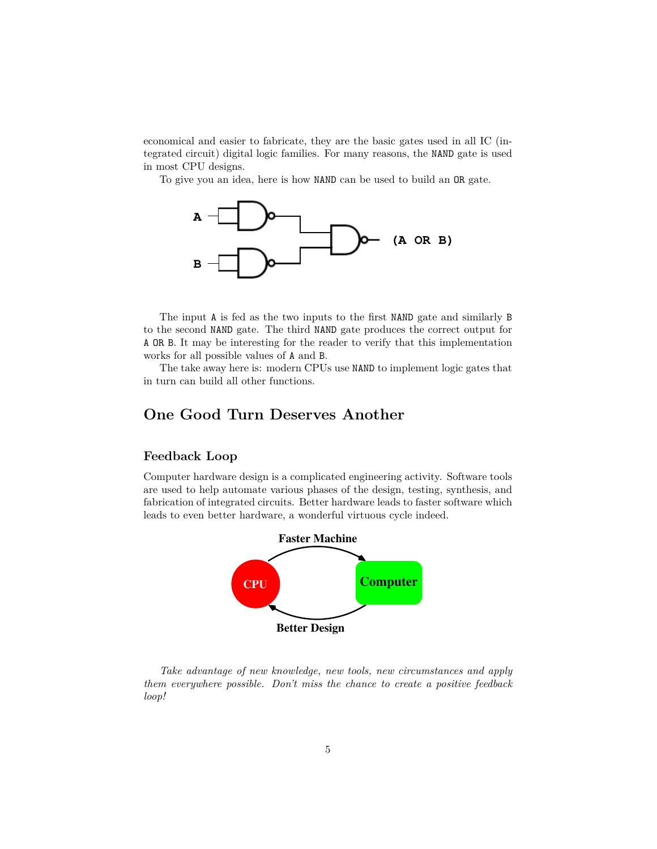economical and easier to fabricate, they are the basic gates used in all IC (integrated circuit) digital logic families. For many reasons, the NAND gate is used in most CPU designs.

To give you an idea, here is how NAND can be used to build an OR gate.



The input A is fed as the two inputs to the first NAND gate and similarly B to the second NAND gate. The third NAND gate produces the correct output for A OR B. It may be interesting for the reader to verify that this implementation works for all possible values of A and B.

The take away here is: modern CPUs use NAND to implement logic gates that in turn can build all other functions.

# **One Good Turn Deserves Another**

### **Feedback Loop**

Computer hardware design is a complicated engineering activity. Software tools are used to help automate various phases of the design, testing, synthesis, and fabrication of integrated circuits. Better hardware leads to faster software which leads to even better hardware, a wonderful virtuous cycle indeed.



*Take advantage of new knowledge, new tools, new circumstances and apply them everywhere possible. Don't miss the chance to create a positive feedback loop!*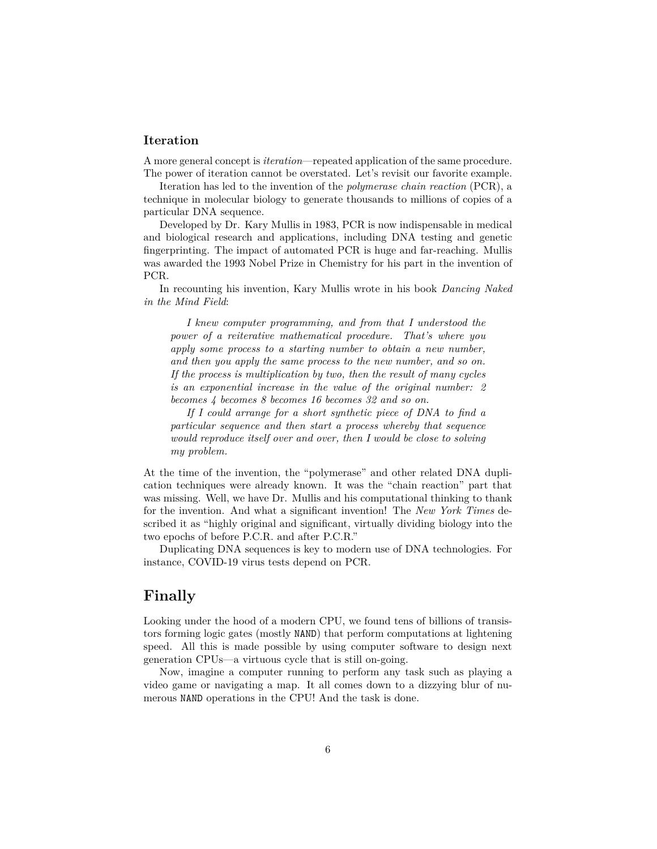### **Iteration**

A more general concept is *iteration*—repeated application of the same procedure. The power of iteration cannot be overstated. Let's revisit our favorite example.

Iteration has led to the invention of the *polymerase chain reaction* (PCR), a technique in molecular biology to generate thousands to millions of copies of a particular DNA sequence.

Developed by Dr. Kary Mullis in 1983, PCR is now indispensable in medical and biological research and applications, including DNA testing and genetic fingerprinting. The impact of automated PCR is huge and far-reaching. Mullis was awarded the 1993 Nobel Prize in Chemistry for his part in the invention of PCR.

In recounting his invention, Kary Mullis wrote in his book *Dancing Naked in the Mind Field*:

*I knew computer programming, and from that I understood the power of a reiterative mathematical procedure. That's where you apply some process to a starting number to obtain a new number, and then you apply the same process to the new number, and so on. If the process is multiplication by two, then the result of many cycles is an exponential increase in the value of the original number: 2 becomes 4 becomes 8 becomes 16 becomes 32 and so on.*

*If I could arrange for a short synthetic piece of DNA to find a particular sequence and then start a process whereby that sequence would reproduce itself over and over, then I would be close to solving my problem.*

At the time of the invention, the "polymerase" and other related DNA duplication techniques were already known. It was the "chain reaction" part that was missing. Well, we have Dr. Mullis and his computational thinking to thank for the invention. And what a significant invention! The *New York Times* described it as "highly original and significant, virtually dividing biology into the two epochs of before P.C.R. and after P.C.R."

Duplicating DNA sequences is key to modern use of DNA technologies. For instance, COVID-19 virus tests depend on PCR.

# **Finally**

Looking under the hood of a modern CPU, we found tens of billions of transistors forming logic gates (mostly NAND) that perform computations at lightening speed. All this is made possible by using computer software to design next generation CPUs—a virtuous cycle that is still on-going.

Now, imagine a computer running to perform any task such as playing a video game or navigating a map. It all comes down to a dizzying blur of numerous NAND operations in the CPU! And the task is done.